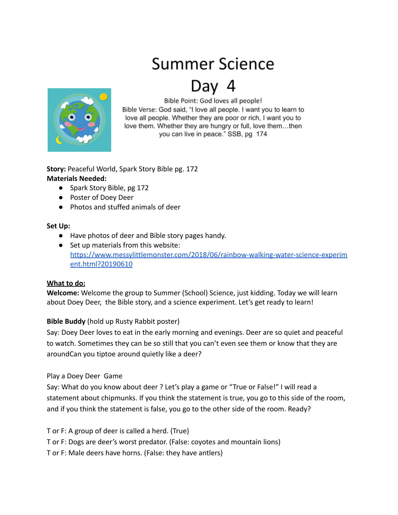# Summer Science

# Day 4



Bible Point: God loves all people! Bible Verse: God said, "I love all people. I want you to learn to love all people. Whether they are poor or rich, I want you to love them. Whether they are hungry or full, love them...then you can live in peace." SSB, pg 174

**Story:** Peaceful World, Spark Story Bible pg. 172 **Materials Needed:**

- Spark Story Bible, pg 172
- Poster of Doey Deer
- Photos and stuffed animals of deer

#### **Set Up:**

- Have photos of deer and Bible story pages handy.
- Set up materials from this website: [https://www.messylittlemonster.com/2018/06/rainbow-walking-water-science-experim](https://www.messylittlemonster.com/2018/06/rainbow-walking-water-science-experiment.html?20190610) [ent.html?20190610](https://www.messylittlemonster.com/2018/06/rainbow-walking-water-science-experiment.html?20190610)

# **What to do:**

**Welcome:** Welcome the group to Summer (School) Science, just kidding. Today we will learn about Doey Deer, the Bible story, and a science experiment. Let's get ready to learn!

# **Bible Buddy** (hold up Rusty Rabbit poster)

Say: Doey Deer loves to eat in the early morning and evenings. Deer are so quiet and peaceful to watch. Sometimes they can be so still that you can't even see them or know that they are aroundCan you tiptoe around quietly like a deer?

# Play a Doey Deer Game

Say: What do you know about deer ? Let's play a game or "True or False!" I will read a statement about chipmunks. If you think the statement is true, you go to this side of the room, and if you think the statement is false, you go to the other side of the room. Ready?

T or F: A group of deer is called a herd. (True)

T or F: Dogs are deer's worst predator. (False: coyotes and mountain lions)

T or F: Male deers have horns. (False: they have antlers)